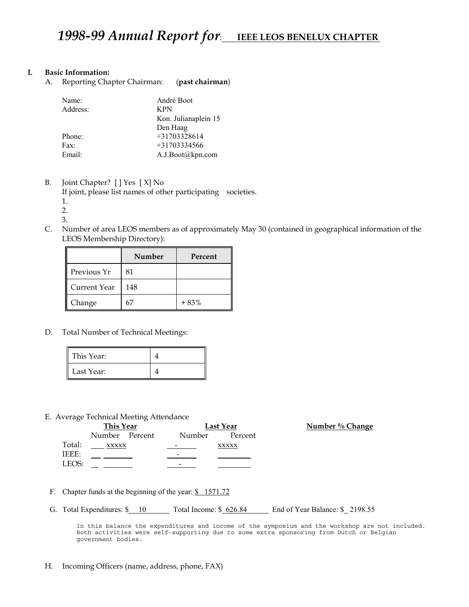### **I. Basic Information:**

A. Reporting Chapter Chairman: (**past chairman**)

| André Boot           |
|----------------------|
| <b>KPN</b>           |
| Kon. Julianaplein 15 |
| Den Haag             |
| $+31703328614$       |
| $+31703334566$       |
| A.J.Boot@kpn.com     |
|                      |

B. Joint Chapter? [ ] Yes [ X] No

If joint, please list names of other participating societies.

1.

2.

- 3.
- C. Number of area LEOS members as of approximately May 30 (contained in geographical information of the LEOS Membership Directory):

|              | <b>Number</b> | Percent |
|--------------|---------------|---------|
| Previous Yr  | 81            |         |
| Current Year | 148           |         |
| Change       | 67            | $+83%$  |

D. Total Number of Technical Meetings:

| This Year: |  |
|------------|--|
| Last Year: |  |

E. Average Technical Meeting Attendance

|        | This Year      |  |        | Last Year    |
|--------|----------------|--|--------|--------------|
|        | Number Percent |  | Number | Percent      |
| Total: | XXXXX          |  |        | <b>XXXXX</b> |
| IEEE:  |                |  |        |              |
| LEOS:  |                |  | -      |              |

**Number % Change** 

- F. Chapter funds at the beginning of the year:  $\frac{\$}{\$}$  1571.72
- G. Total Expenditures: \$ 10 Total Income: \$ 626.84 End of Year Balance: \$ 2198.55

In this balance the expenditures and income of the symposium and the workshop are not included. Both activities were self-supporting due to some extra sponsoring from Dutch or Belgian government bodies.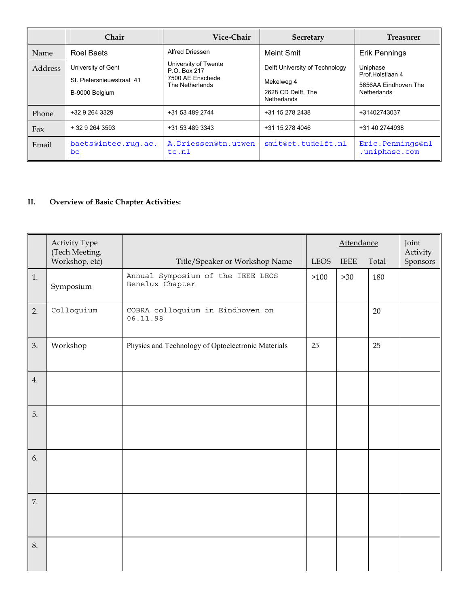|         | <b>Chair</b>                                                      | Vice-Chair                                                                  | <b>Secretary</b>                                                                         | <b>Treasurer</b>                                                           |
|---------|-------------------------------------------------------------------|-----------------------------------------------------------------------------|------------------------------------------------------------------------------------------|----------------------------------------------------------------------------|
| Name    | Roel Baets                                                        | <b>Alfred Driessen</b>                                                      | <b>Meint Smit</b>                                                                        | Erik Pennings                                                              |
| Address | University of Gent<br>St. Pietersnieuwstraat 41<br>B-9000 Belgium | University of Twente<br>P.O. Box 217<br>7500 AE Enschede<br>The Netherlands | Delft University of Technology<br>Mekelweg 4<br>2628 CD Delft, The<br><b>Netherlands</b> | Uniphase<br>Prof.Holstlaan 4<br>5656AA Eindhoven The<br><b>Netherlands</b> |
| Phone   | +32 9 264 3329                                                    | +31 53 489 2744                                                             | +31 15 278 2438                                                                          | +31402743037                                                               |
| Fax     | $+3292643593$                                                     | +31 53 489 3343                                                             | +31 15 278 4046                                                                          | +31 40 2744938                                                             |
| Email   | baets@intec.rug.ac.<br>be                                         | A.Driessen@tn.utwen<br>te.nl                                                | smit@et.tudelft.nl                                                                       | Eric.Pennings@nl<br>.uniphase.com                                          |

## **II. Overview of Basic Chapter Activities:**

|    | <b>Activity Type</b><br>(Tech Meeting, |                                                      | Attendance  |       | Joint<br>Activity |          |
|----|----------------------------------------|------------------------------------------------------|-------------|-------|-------------------|----------|
|    | Workshop, etc)                         | Title/Speaker or Workshop Name                       | <b>LEOS</b> | IEEE  | Total             | Sponsors |
| 1. | Symposium                              | Annual Symposium of the IEEE LEOS<br>Benelux Chapter | >100        | $>30$ | 180               |          |
| 2. | Colloquium                             | COBRA colloquium in Eindhoven on<br>06.11.98         |             |       | 20                |          |
| 3. | Workshop                               | Physics and Technology of Optoelectronic Materials   | 25          |       | 25                |          |
| 4. |                                        |                                                      |             |       |                   |          |
| 5. |                                        |                                                      |             |       |                   |          |
| 6. |                                        |                                                      |             |       |                   |          |
| 7. |                                        |                                                      |             |       |                   |          |
| 8. |                                        |                                                      |             |       |                   |          |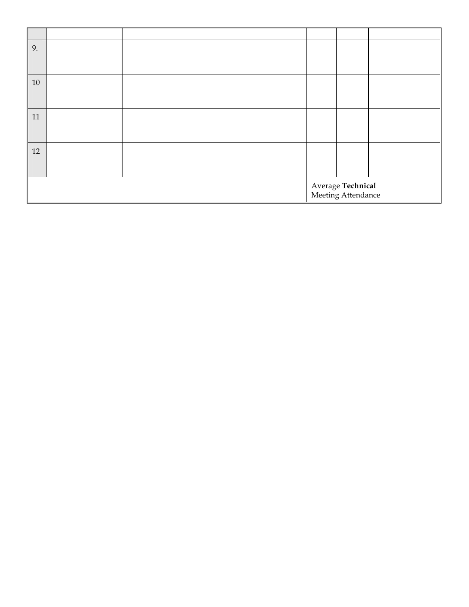| 9. |                                         |  |  |  |  |
|----|-----------------------------------------|--|--|--|--|
|    |                                         |  |  |  |  |
| 10 |                                         |  |  |  |  |
|    |                                         |  |  |  |  |
| 11 |                                         |  |  |  |  |
|    |                                         |  |  |  |  |
| 12 |                                         |  |  |  |  |
|    |                                         |  |  |  |  |
|    | Average Technical<br>Meeting Attendance |  |  |  |  |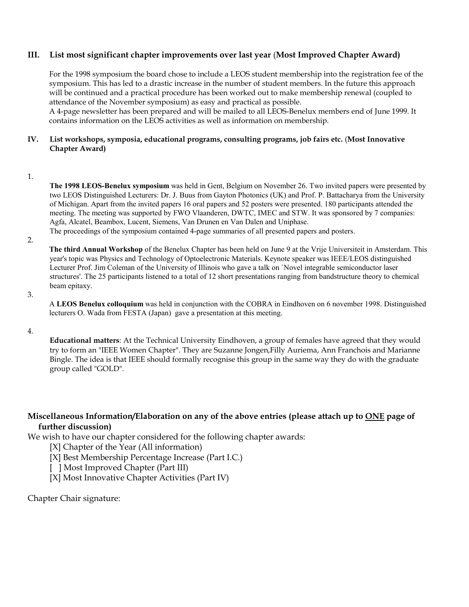## **III. List most significant chapter improvements over last year** (**Most Improved Chapter Award)**

For the 1998 symposium the board chose to include a LEOS student membership into the registration fee of the symposium. This has led to a drastic increase in the number of student members. In the future this approach will be continued and a practical procedure has been worked out to make membership renewal (coupled to attendance of the November symposium) as easy and practical as possible.

 A 4-page newsletter has been prepared and will be mailed to all LEOS-Benelux members end of June 1999. It contains information on the LEOS activities as well as information on membership.

## **IV. List workshops, symposia, educational programs, consulting programs, job fairs etc.** (**Most Innovative Chapter Award)**

1.

**The 1998 LEOS-Benelux symposium** was held in Gent, Belgium on November 26. Two invited papers were presented by two LEOS Distinguished Lecturers: Dr. J. Buus from Gayton Photonics (UK) and Prof. P. Battacharya from the University of Michigan. Apart from the invited papers 16 oral papers and 52 posters were presented. 180 participants attended the meeting. The meeting was supported by FWO Vlaanderen, DWTC, IMEC and STW. It was sponsored by 7 companies: Agfa, Alcatel, Beambox, Lucent, Siemens, Van Drunen en Van Dalen and Uniphase. The proceedings of the symposium contained 4-page summaries of all presented papers and posters.

2.

**The third Annual Workshop** of the Benelux Chapter has been held on June 9 at the Vrije Universiteit in Amsterdam. This year's topic was Physics and Technology of Optoelectronic Materials. Keynote speaker was IEEE/LEOS distinguished Lecturer Prof. Jim Coleman of the University of Illinois who gave a talk on `Novel integrable semiconductor laser structures'. The 25 participants listened to a total of 12 short presentations ranging from bandstructure theory to chemical beam epitaxy.

3.

A **LEOS Benelux colloquium** was held in conjunction with the COBRA in Eindhoven on 6 november 1998. Distinguished lecturers O. Wada from FESTA (Japan) gave a presentation at this meeting.

4.

**Educational matters**: At the Technical University Eindhoven, a group of females have agreed that they would try to form an "IEEE Women Chapter". They are Suzanne Jongen,Filly Auriema, Ann Franchois and Marianne Bingle. The idea is that IEEE should formally recognise this group in the same way they do with the graduate group called "GOLD".

## **Miscellaneous Information/Elaboration on any of the above entries (please attach up to ONE page of further discussion)**

We wish to have our chapter considered for the following chapter awards:

[X] Chapter of the Year (All information)

[X] Best Membership Percentage Increase (Part I.C.)

[ ] Most Improved Chapter (Part III)

[X] Most Innovative Chapter Activities (Part IV)

Chapter Chair signature: